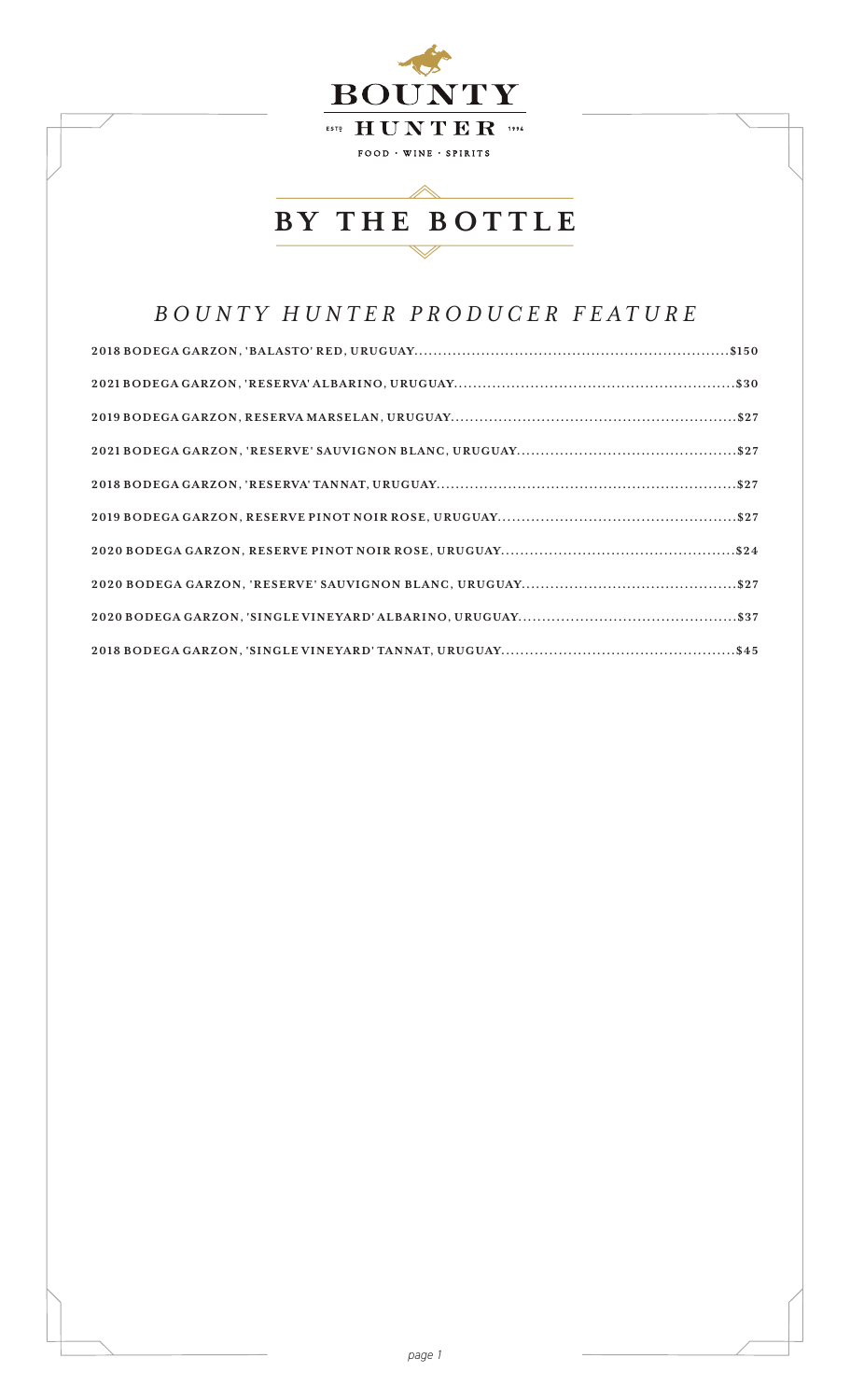

## *BOUNTY HUNTER PRODUCER FEATURE*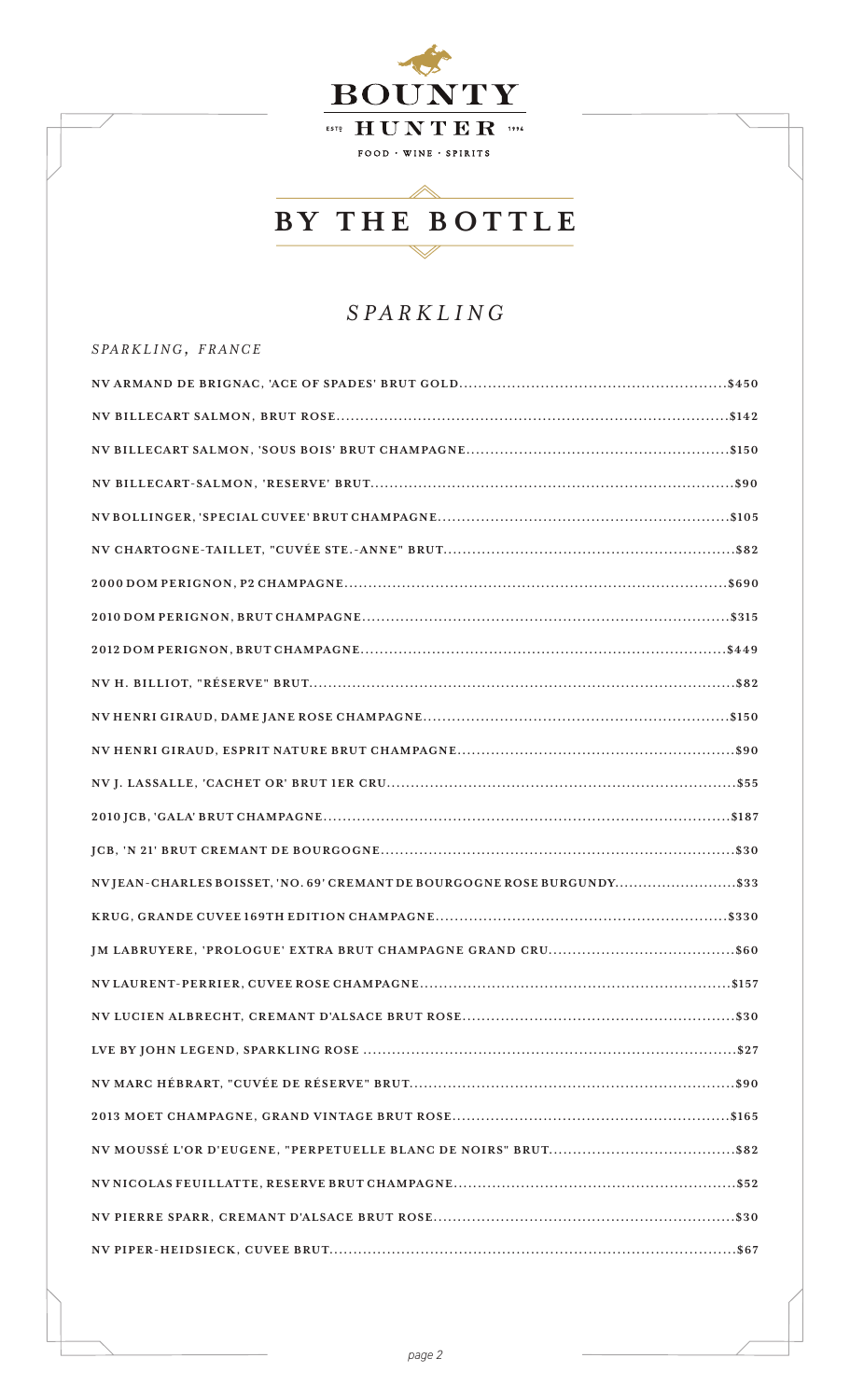

## *SPARKLING*

| SPARKLING, FRANCE                                                        |
|--------------------------------------------------------------------------|
|                                                                          |
|                                                                          |
|                                                                          |
|                                                                          |
|                                                                          |
|                                                                          |
|                                                                          |
|                                                                          |
|                                                                          |
|                                                                          |
|                                                                          |
|                                                                          |
|                                                                          |
|                                                                          |
|                                                                          |
| NVJEAN-CHARLES BOISSET, 'NO. 69' CREMANT DE BOURGOGNE ROSE BURGUNDY \$33 |
|                                                                          |
|                                                                          |
|                                                                          |
|                                                                          |
|                                                                          |
|                                                                          |
|                                                                          |
|                                                                          |
|                                                                          |
|                                                                          |
|                                                                          |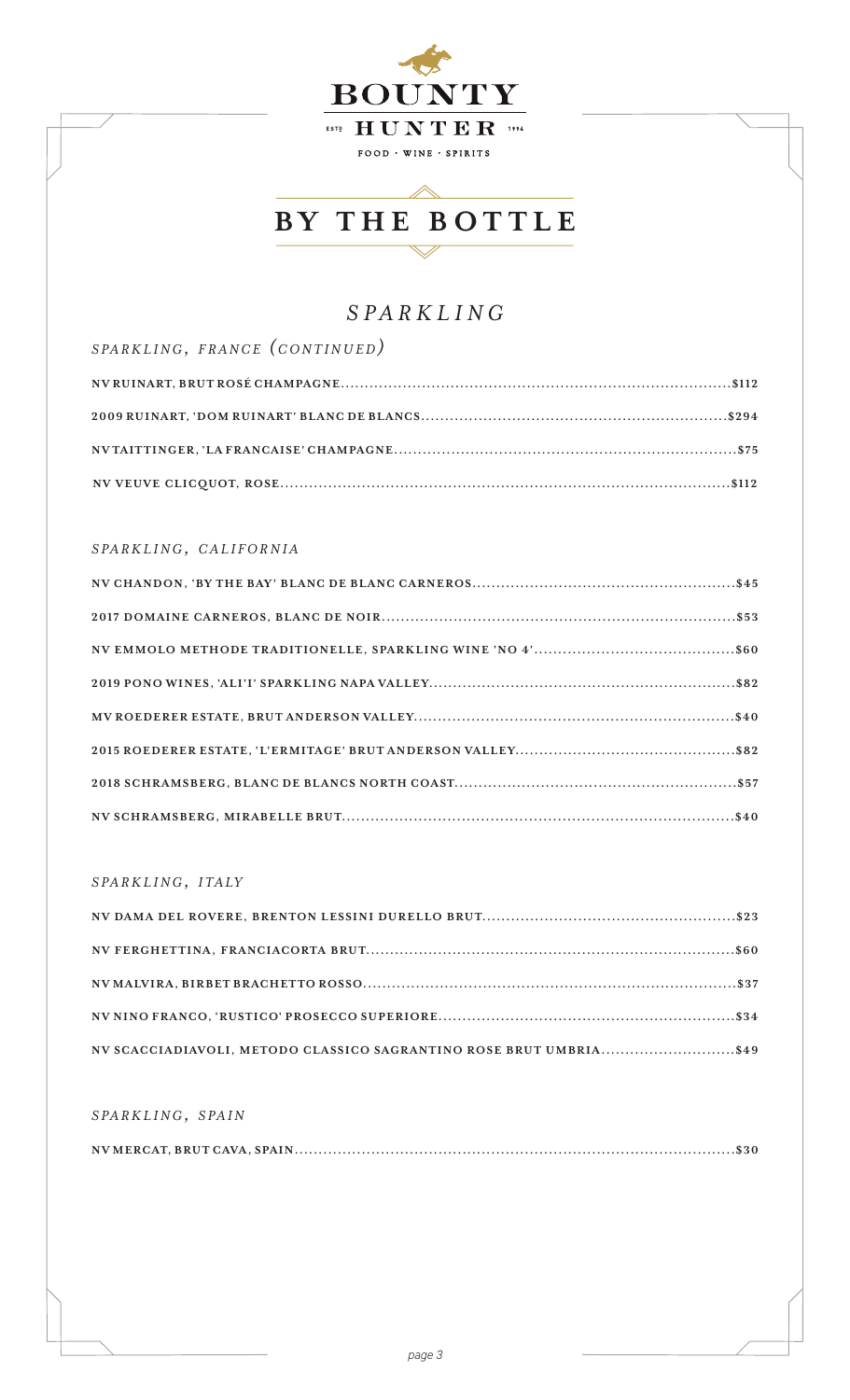

## *SPARKLING*

| SPARKLING, FRANCE (CONTINUED) |
|-------------------------------|
|                               |
|                               |
|                               |
|                               |

#### *s pa r k l i n g, c a l i f o r n i a*

#### *s pa r k l i n g, i t a ly*

| NV SCACCIADIAVOLI, METODO CLASSICO SAGRANTINO ROSE BRUT UMBRIA\$49 |  |
|--------------------------------------------------------------------|--|

#### *s pa r k l i n g, s pa i n*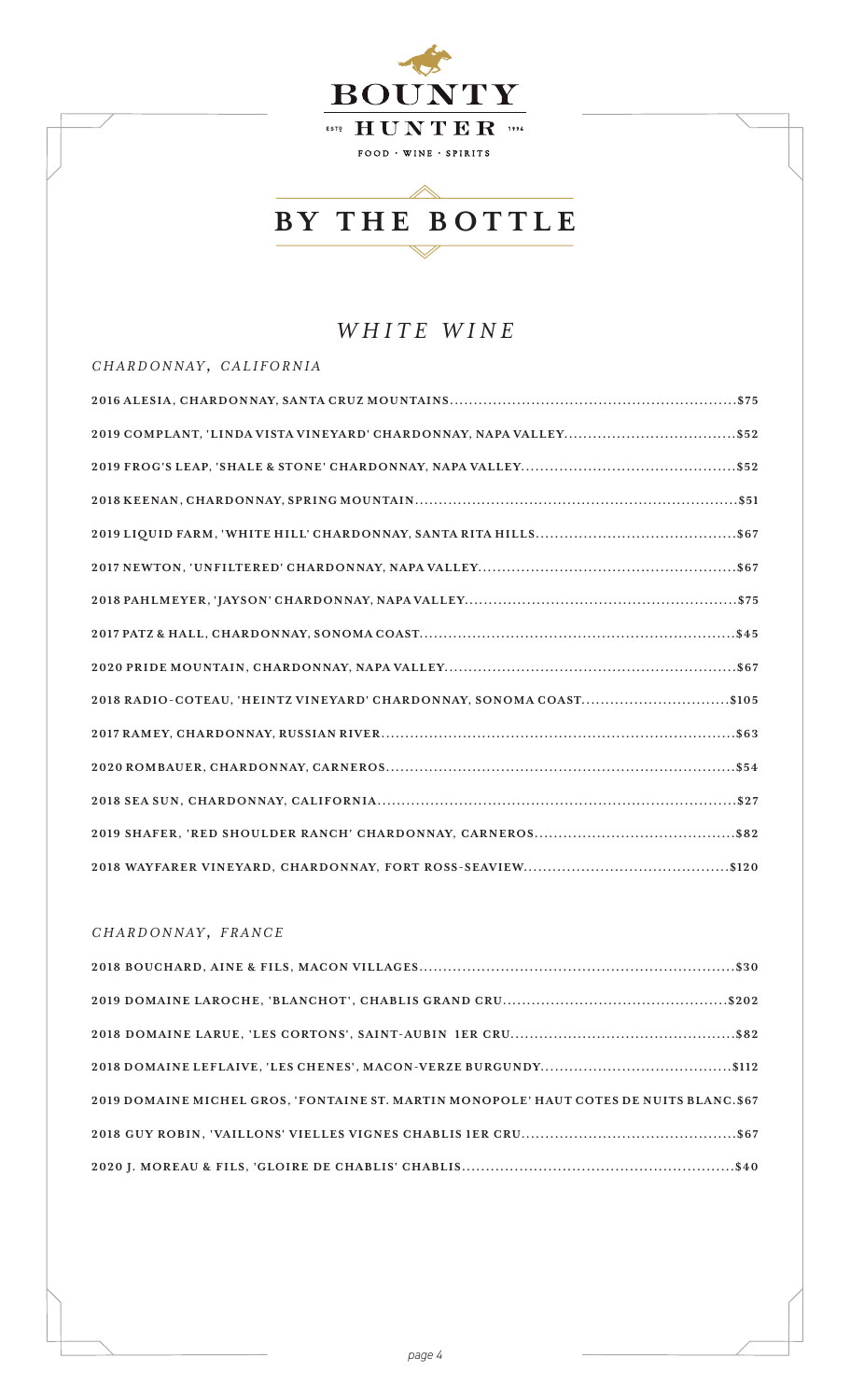

## *WHITE WINE*

#### *c h a r d o n n ay , c a l i f o r n i a*

| 2018 RADIO-COTEAU, 'HEINTZ VINEYARD' CHARDONNAY, SONOMA COAST\$105 |
|--------------------------------------------------------------------|
|                                                                    |
|                                                                    |
|                                                                    |
|                                                                    |
|                                                                    |

#### *c h a r d o n n ay , f r a n c e*

| 2019 DOMAINE MICHEL GROS, 'FONTAINE ST. MARTIN MONOPOLE' HAUT COTES DE NUITS BLANC.\$67 |
|-----------------------------------------------------------------------------------------|
|                                                                                         |
|                                                                                         |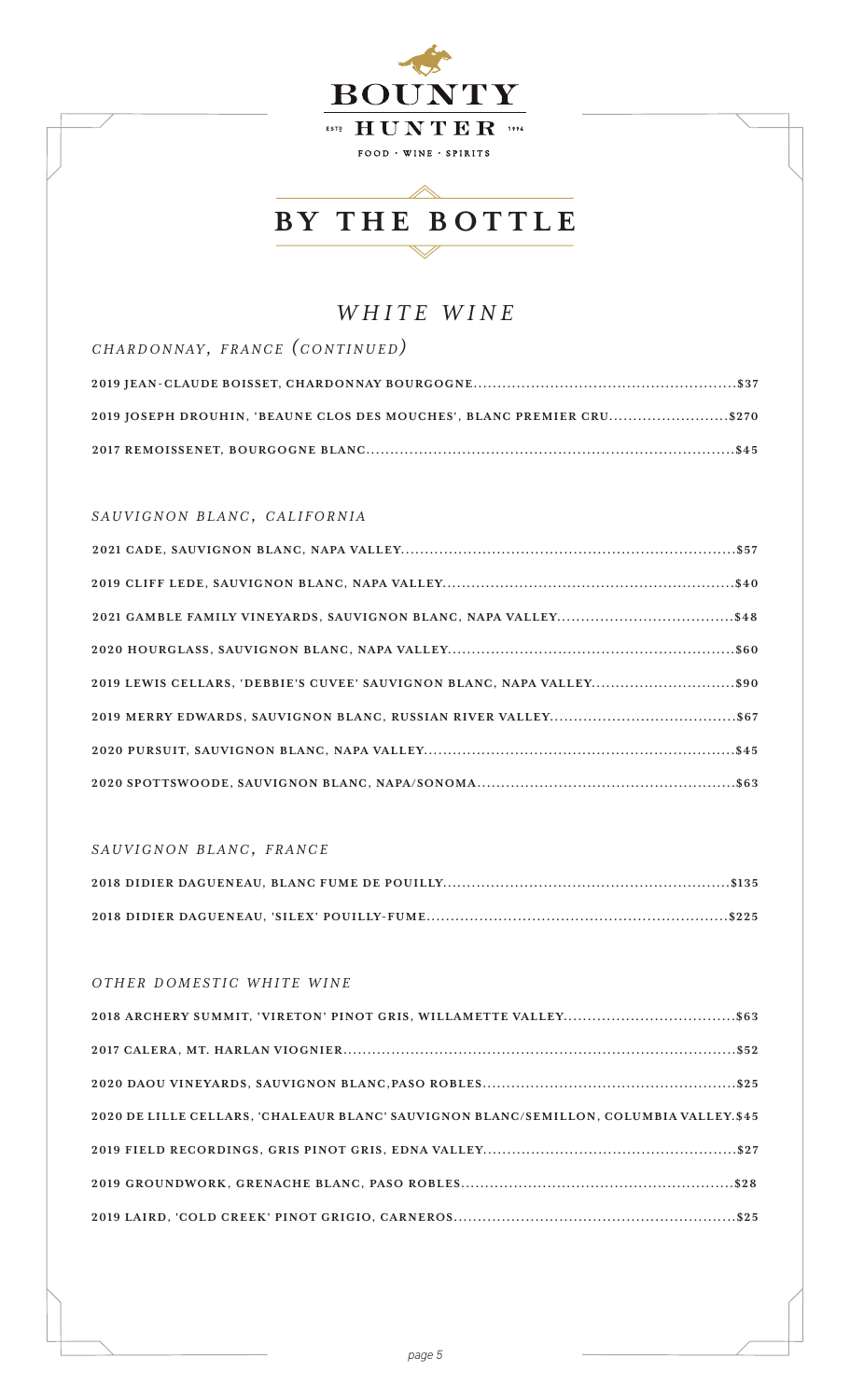

### *WHITE WINE*

*c h a r d o n n ay , f r a n c e (c o n t i n u e d)* **2019 JEAN-CLAUDE BOISSET, CHARDONNAY BOURGOGNE.......................................................\$37 2019 JOSEPH DROUHIN, 'BEAUNE CLOS DES MOUCHES', BLANC PREMIER CRU.........................\$270 2017 REMOISSENET, BOURGOGNE BLANC.............................................................................\$45**

#### $SAUVIGNON\ BLANC,\ CALIFORNIA$

| 2019 LEWIS CELLARS, 'DEBBIE'S CUVEE' SAUVIGNON BLANC, NAPA VALLEY\$90 |  |
|-----------------------------------------------------------------------|--|
|                                                                       |  |
|                                                                       |  |
|                                                                       |  |

#### $SAUVIGNON$  *BLANC*, *FRANCE*

#### *OTHER DOMESTIC WHITE WINE*

| 2020 DE LILLE CELLARS, 'CHALEAUR BLANC' SAUVIGNON BLANC/SEMILLON, COLUMBIA VALLEY.\$45 |
|----------------------------------------------------------------------------------------|
|                                                                                        |
|                                                                                        |
|                                                                                        |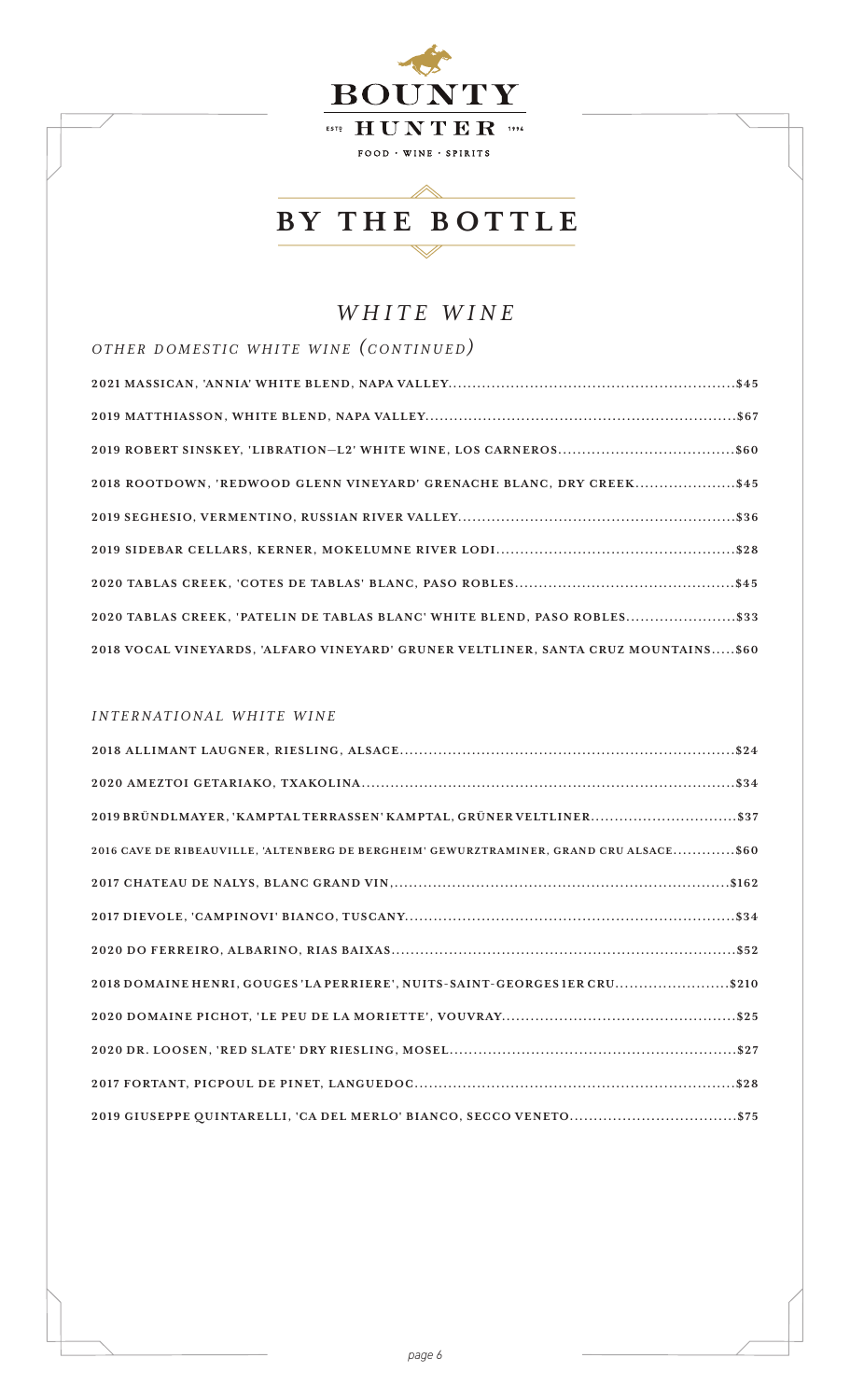

 $\triangle$ 

## *WHITE WINE*

| OTHER DOMESTIC WHITE WINE (CONTINUED)                                              |  |
|------------------------------------------------------------------------------------|--|
|                                                                                    |  |
|                                                                                    |  |
| 2019 ROBERT SINSKEY, 'LIBRATION-L2' WHITE WINE, LOS CARNEROS\$60                   |  |
| 2018 ROOTDOWN, 'REDWOOD GLENN VINEYARD' GRENACHE BLANC, DRY CREEK\$45              |  |
|                                                                                    |  |
|                                                                                    |  |
|                                                                                    |  |
| 2020 TABLAS CREEK, 'PATELIN DE TABLAS BLANC' WHITE BLEND, PASO ROBLES\$33          |  |
| 2018 VOCAL VINEYARDS, 'ALFARO VINEYARD' GRUNER VELTLINER, SANTA CRUZ MOUNTAINS\$60 |  |

#### *i n t e r n a t i o n a l w h i t e w i n e*

| 2016 CAVE DE RIBEAUVILLE, 'ALTENBERG DE BERGHEIM' GEWURZTRAMINER, GRAND CRU ALSACE\$60 |
|----------------------------------------------------------------------------------------|
|                                                                                        |
|                                                                                        |
|                                                                                        |
| 2018 DOMAINE HENRI, GOUGES 'LA PERRIERE', NUITS-SAINT-GEORGES IER CRU\$210             |
|                                                                                        |
|                                                                                        |
|                                                                                        |
|                                                                                        |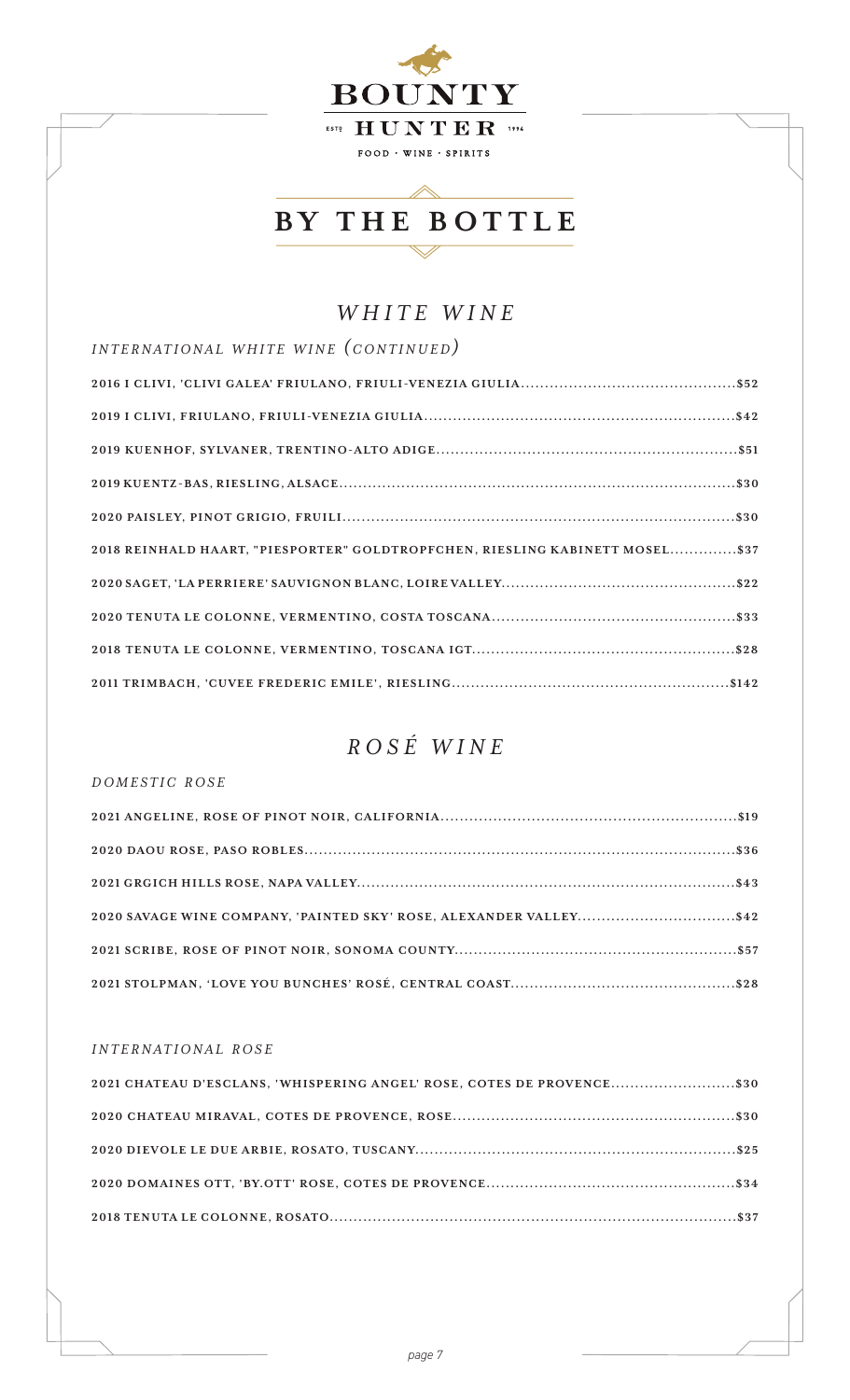

## *WHITE WINE*

| INTERNATIONAL WHITE WINE (CONTINUED)                                         |
|------------------------------------------------------------------------------|
|                                                                              |
|                                                                              |
|                                                                              |
|                                                                              |
|                                                                              |
| 2018 REINHALD HAART, "PIESPORTER" GOLDTROPFCHEN, RIESLING KABINETT MOSEL\$37 |
|                                                                              |
|                                                                              |
|                                                                              |
|                                                                              |

## *ROSÉ WINE*

#### *d o m e s t i c r o s e*

| 2020 SAVAGE WINE COMPANY, 'PAINTED SKY' ROSE, ALEXANDER VALLEY\$42 |  |
|--------------------------------------------------------------------|--|
|                                                                    |  |
|                                                                    |  |

#### *i n t e r n a t i o n a l r o s e*

| 2021 CHATEAU D'ESCLANS, 'WHISPERING ANGEL' ROSE, COTES DE PROVENCE\$30 |  |
|------------------------------------------------------------------------|--|
|                                                                        |  |
|                                                                        |  |
|                                                                        |  |
|                                                                        |  |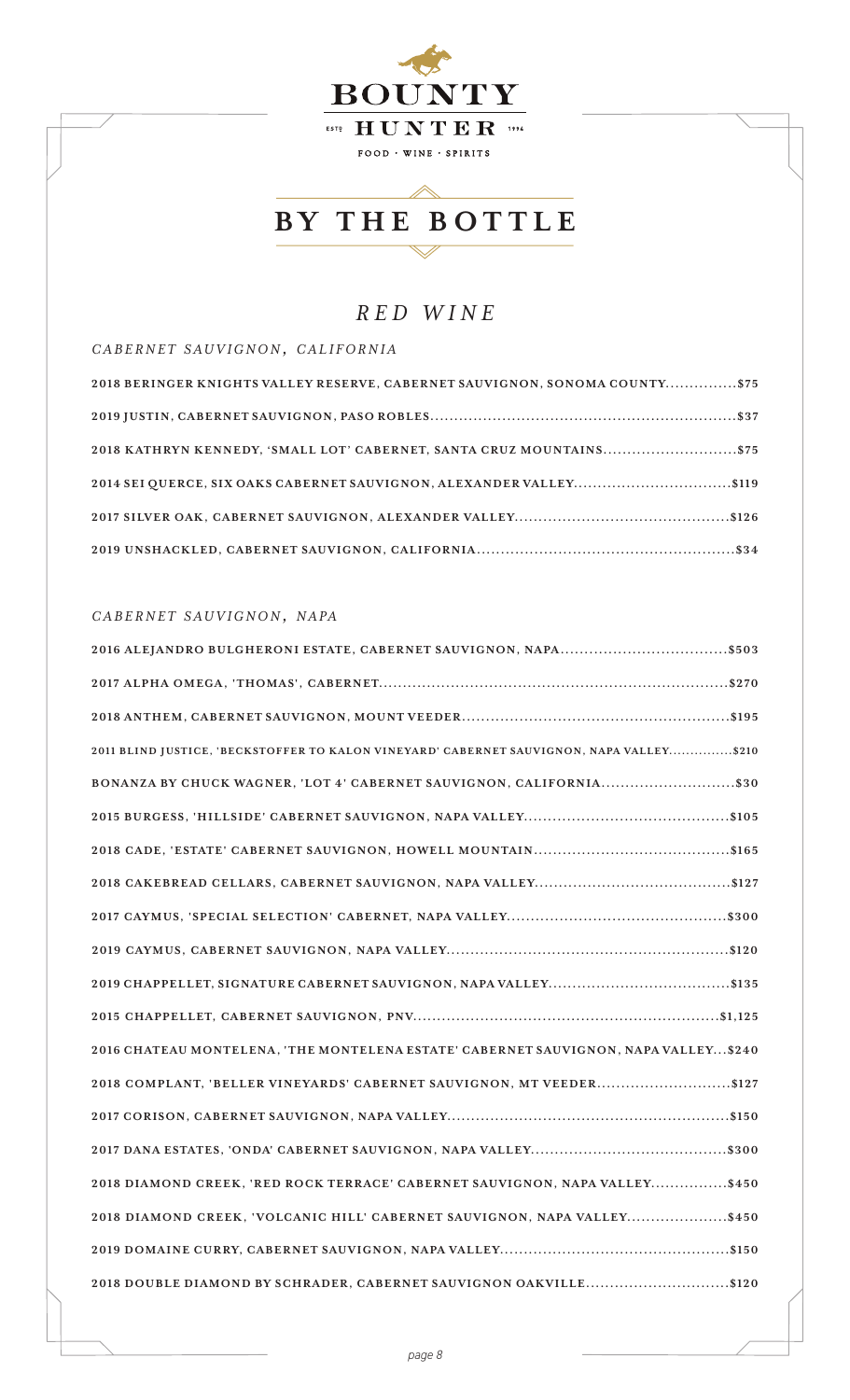

### *RED WINE*

*c a b e r n e t s a u v i g n o n, c a l i f o r n i a*

| 2018 BERINGER KNIGHTS VALLEY RESERVE, CABERNET SAUVIGNON, SONOMA COUNTY\$75 |
|-----------------------------------------------------------------------------|
|                                                                             |
| 2018 KATHRYN KENNEDY, 'SMALL LOT' CABERNET, SANTA CRUZ MOUNTAINS\$75        |
| 2014 SEI QUERCE, SIX OAKS CABERNET SAUVIGNON, ALEXANDER VALLEY\$119         |
|                                                                             |
|                                                                             |

#### *c a b e r n e t s a u v i g n o n, n a pa*

| 2011 BLIND JUSTICE, 'BECKSTOFFER TO KALON VINEYARD' CABERNET SAUVIGNON, NAPA VALLEY\$210 |
|------------------------------------------------------------------------------------------|
|                                                                                          |
|                                                                                          |
|                                                                                          |
|                                                                                          |
|                                                                                          |
|                                                                                          |
|                                                                                          |
|                                                                                          |
| 2016 CHATEAU MONTELENA, 'THE MONTELENA ESTATE' CABERNET SAUVIGNON, NAPA VALLEY \$240     |
| 2018 COMPLANT, 'BELLER VINEYARDS' CABERNET SAUVIGNON, MT VEEDER\$127                     |
|                                                                                          |
|                                                                                          |
| 2018 DIAMOND CREEK, 'RED ROCK TERRACE' CABERNET SAUVIGNON, NAPA VALLEY\$450              |
| 2018 DIAMOND CREEK, 'VOLCANIC HILL' CABERNET SAUVIGNON, NAPA VALLEY\$450                 |
|                                                                                          |
| 2018 DOUBLE DIAMOND BY SCHRADER, CABERNET SAUVIGNON OAKVILLE\$120                        |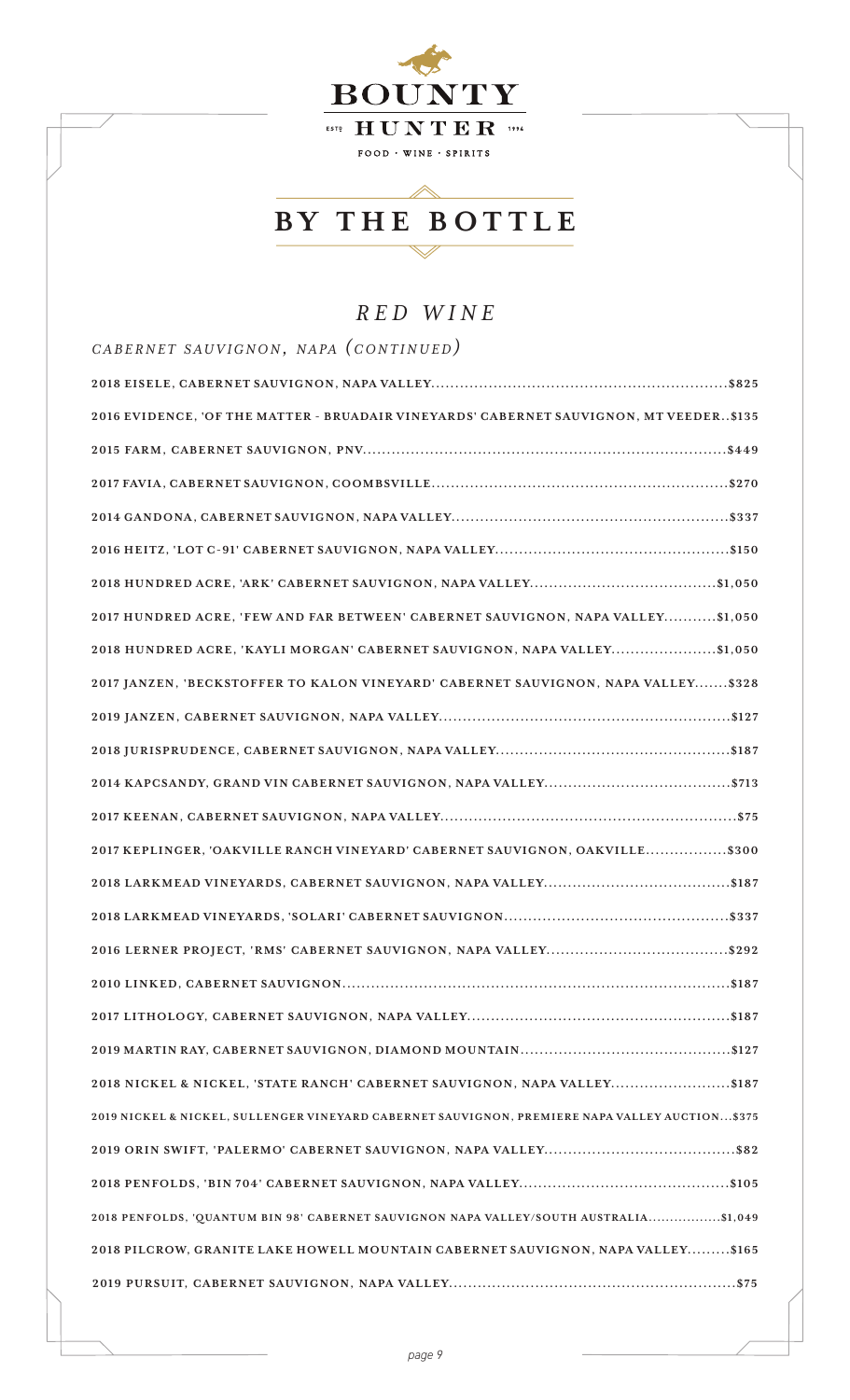

## *RED WINE*

| CABERNET SAUVIGNON, NAPA (CONTINUED)                                                            |
|-------------------------------------------------------------------------------------------------|
|                                                                                                 |
| 2016 EVIDENCE, 'OF THE MATTER - BRUADAIR VINEYARDS' CABERNET SAUVIGNON, MT VEEDER\$135          |
|                                                                                                 |
|                                                                                                 |
|                                                                                                 |
|                                                                                                 |
|                                                                                                 |
| 2017 HUNDRED ACRE, 'FEW AND FAR BETWEEN' CABERNET SAUVIGNON, NAPA VALLEY\$1,050                 |
| 2018 HUNDRED ACRE, 'KAYLI MORGAN' CABERNET SAUVIGNON, NAPA VALLEY\$1,050                        |
| 2017 JANZEN, 'BECKSTOFFER TO KALON VINEYARD' CABERNET SAUVIGNON, NAPA VALLEY\$328               |
|                                                                                                 |
|                                                                                                 |
|                                                                                                 |
|                                                                                                 |
| 2017 KEPLINGER, 'OAKVILLE RANCH VINEYARD' CABERNET SAUVIGNON, OAKVILLE\$300                     |
|                                                                                                 |
|                                                                                                 |
|                                                                                                 |
|                                                                                                 |
|                                                                                                 |
|                                                                                                 |
| 2018 NICKEL & NICKEL, 'STATE RANCH' CABERNET SAUVIGNON, NAPA VALLEY\$187                        |
| 2019 NICKEL & NICKEL, SULLENGER VINEYARD CABERNET SAUVIGNON, PREMIERE NAPA VALLEY AUCTION \$375 |
|                                                                                                 |
|                                                                                                 |
| 2018 PENFOLDS, 'QUANTUM BIN 98' CABERNET SAUVIGNON NAPA VALLEY/SOUTH AUSTRALIA\$1,049           |
| 2018 PILCROW, GRANITE LAKE HOWELL MOUNTAIN CABERNET SAUVIGNON, NAPA VALLEY\$165                 |
|                                                                                                 |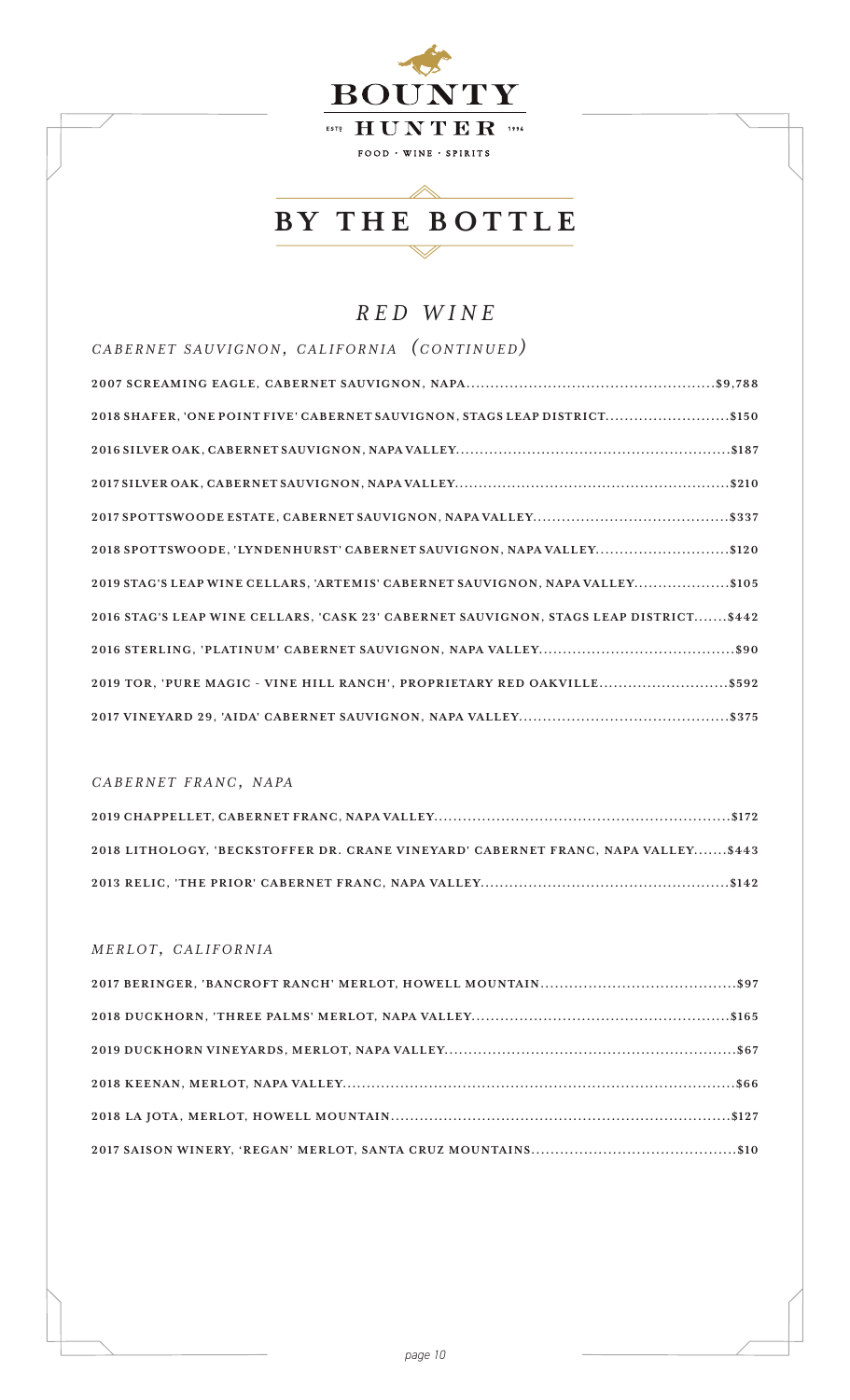

 $\mathbb{\triangle}$ 

## *RED WINE*

| CABERNET SAUVIGNON, CALIFORNIA (CONTINUED)                                            |
|---------------------------------------------------------------------------------------|
|                                                                                       |
| 2018 SHAFER, 'ONE POINT FIVE' CABERNET SAUVIGNON, STAGS LEAP DISTRICT\$150            |
|                                                                                       |
|                                                                                       |
|                                                                                       |
| 2018 SPOTTSWOODE, 'LYNDENHURST' CABERNET SAUVIGNON, NAPA VALLEY\$120                  |
| 2019 STAG'S LEAP WINE CELLARS, 'ARTEMIS' CABERNET SAUVIGNON, NAPA VALLEY\$105         |
| 2016 STAG'S LEAP WINE CELLARS, 'CASK 23' CABERNET SAUVIGNON, STAGS LEAP DISTRICT\$442 |
|                                                                                       |
| 2019 TOR, 'PURE MAGIC - VINE HILL RANCH', PROPRIETARY RED OAKVILLE\$592               |
|                                                                                       |

#### *c a b e r n e t f r a n c, n a pa*

| 2018 LITHOLOGY, 'BECKSTOFFER DR. CRANE VINEYARD' CABERNET FRANC. NAPA VALLEY\$443 |
|-----------------------------------------------------------------------------------|
|                                                                                   |

#### *m e r l o t , c a l i f o r n i a*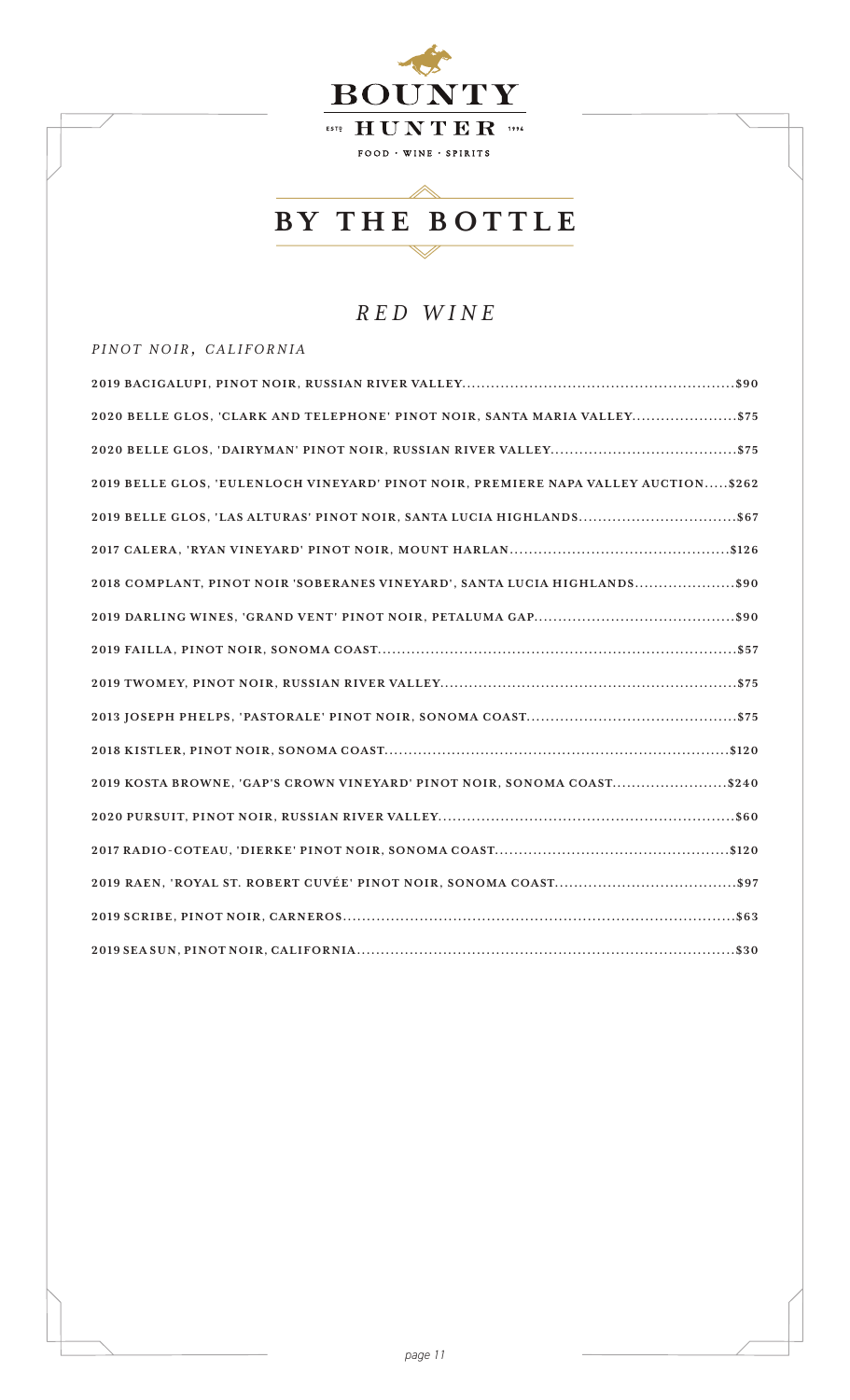

## *RED WINE*

#### *p i n o t n o i r , c a l i f o r n i a*

| 2020 BELLE GLOS, 'CLARK AND TELEPHONE' PINOT NOIR, SANTA MARIA VALLEY\$75           |
|-------------------------------------------------------------------------------------|
|                                                                                     |
| 2019 BELLE GLOS, 'EULENLOCH VINEYARD' PINOT NOIR, PREMIERE NAPA VALLEY AUCTION\$262 |
|                                                                                     |
|                                                                                     |
| 2018 COMPLANT, PINOT NOIR 'SOBERANES VINEYARD', SANTA LUCIA HIGHLANDS\$90           |
|                                                                                     |
|                                                                                     |
|                                                                                     |
|                                                                                     |
|                                                                                     |
| 2019 KOSTA BROWNE, 'GAP'S CROWN VINEYARD' PINOT NOIR, SONOMA COAST\$240             |
|                                                                                     |
|                                                                                     |
|                                                                                     |
|                                                                                     |
|                                                                                     |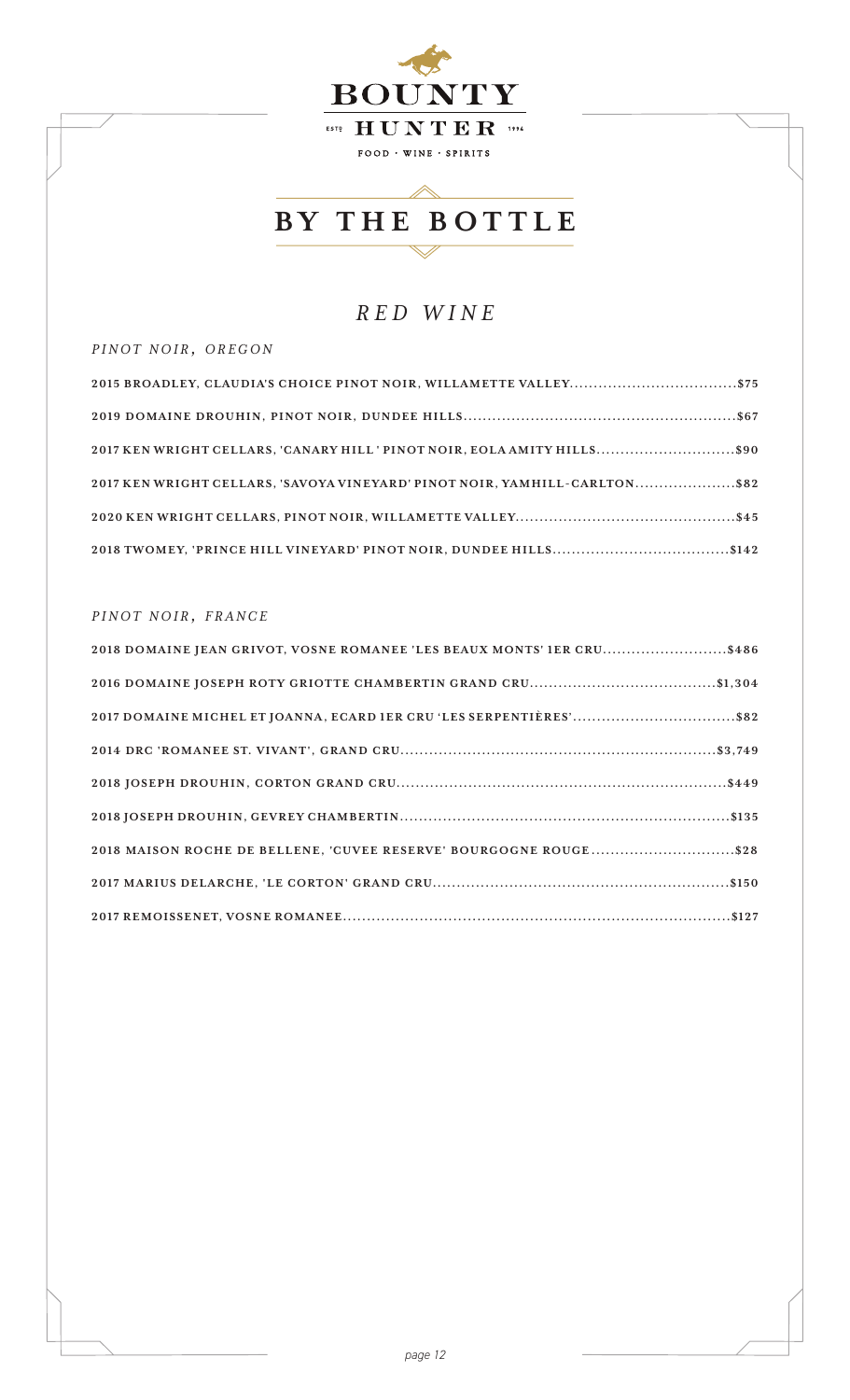

### *RED WINE*

#### $PINOT NOIR, OREGON$

| 2017 KEN WRIGHT CELLARS, 'CANARY HILL' PINOT NOIR, EOLA AMITY HILLS\$90    |  |
|----------------------------------------------------------------------------|--|
| 2017 KEN WRIGHT CELLARS, 'SAVOYA VINEYARD' PINOT NOIR, YAMHILL-CARLTON\$82 |  |
|                                                                            |  |
|                                                                            |  |

#### $PINOT\ N OIR, \ FRANCE$

| 2018 DOMAINE JEAN GRIVOT, VOSNE ROMANEE 'LES BEAUX MONTS' 1ER CRU\$486 |
|------------------------------------------------------------------------|
|                                                                        |
| 2017 DOMAINE MICHEL ET JOANNA, ECARD IER CRU 'LES SERPENTIÈRES'\$82    |
|                                                                        |
|                                                                        |
|                                                                        |
| 2018 MAISON ROCHE DE BELLENE, 'CUVEE RESERVE' BOURGOGNE ROUGE\$28      |
|                                                                        |
|                                                                        |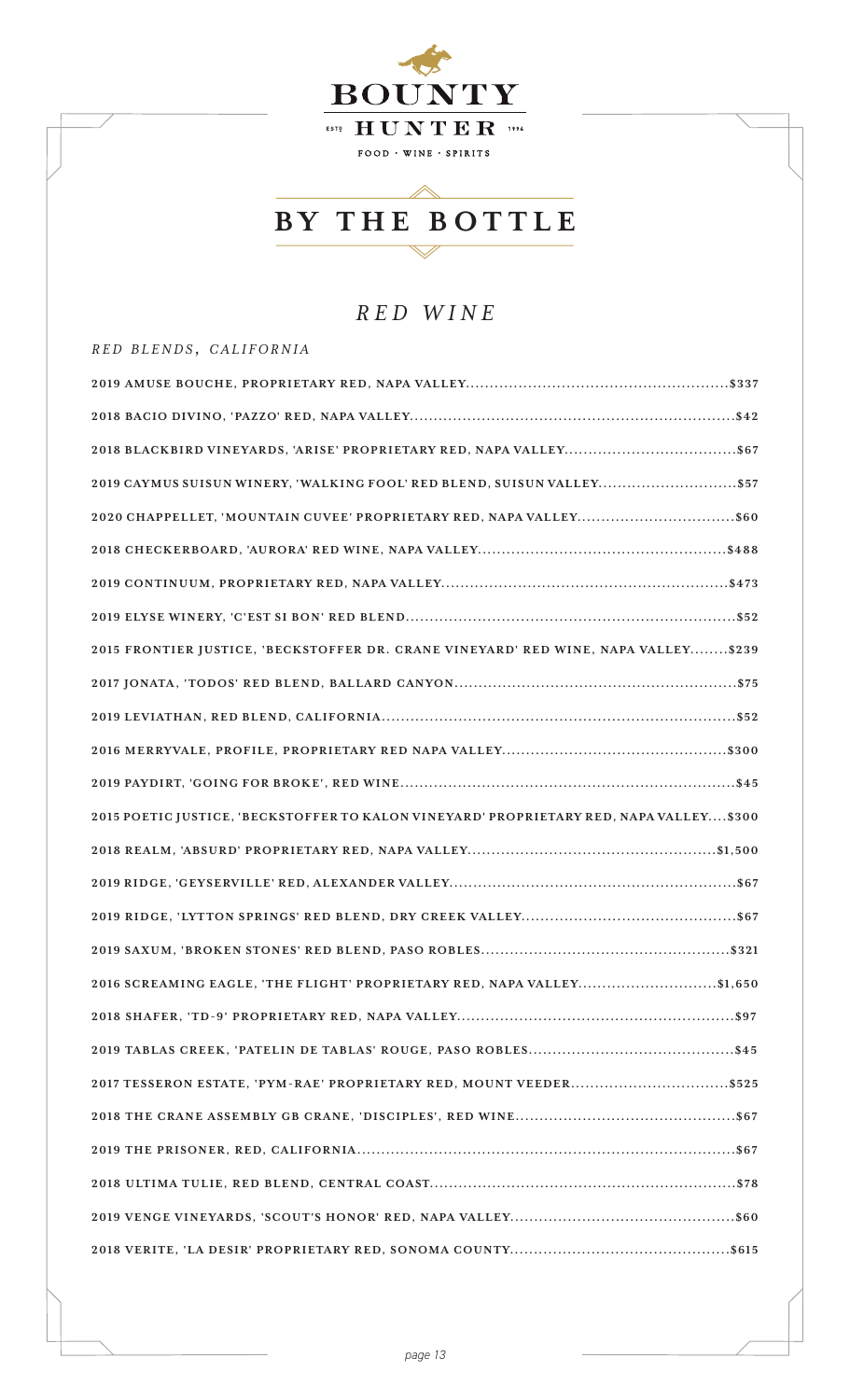

### *RED WINE*

#### *r e d b l e n d s , c a l i f o r n i a*

| 2019 CAYMUS SUISUN WINERY, 'WALKING FOOL' RED BLEND, SUISUN VALLEY \$57                 |
|-----------------------------------------------------------------------------------------|
| 2020 CHAPPELLET, 'MOUNTAIN CUVEE' PROPRIETARY RED, NAPA VALLEY\$60                      |
|                                                                                         |
|                                                                                         |
|                                                                                         |
| 2015 FRONTIER JUSTICE, 'BECKSTOFFER DR. CRANE VINEYARD' RED WINE, NAPA VALLEY\$239      |
|                                                                                         |
|                                                                                         |
|                                                                                         |
|                                                                                         |
| 2015 POETIC JUSTICE, 'BECKSTOFFER TO KALON VINEYARD' PROPRIETARY RED, NAPA VALLEY \$300 |
|                                                                                         |
|                                                                                         |
|                                                                                         |
|                                                                                         |
| 2016 SCREAMING EAGLE, 'THE FLIGHT' PROPRIETARY RED, NAPA VALLEY\$1,650                  |
|                                                                                         |
|                                                                                         |
|                                                                                         |
|                                                                                         |
|                                                                                         |
|                                                                                         |
|                                                                                         |
|                                                                                         |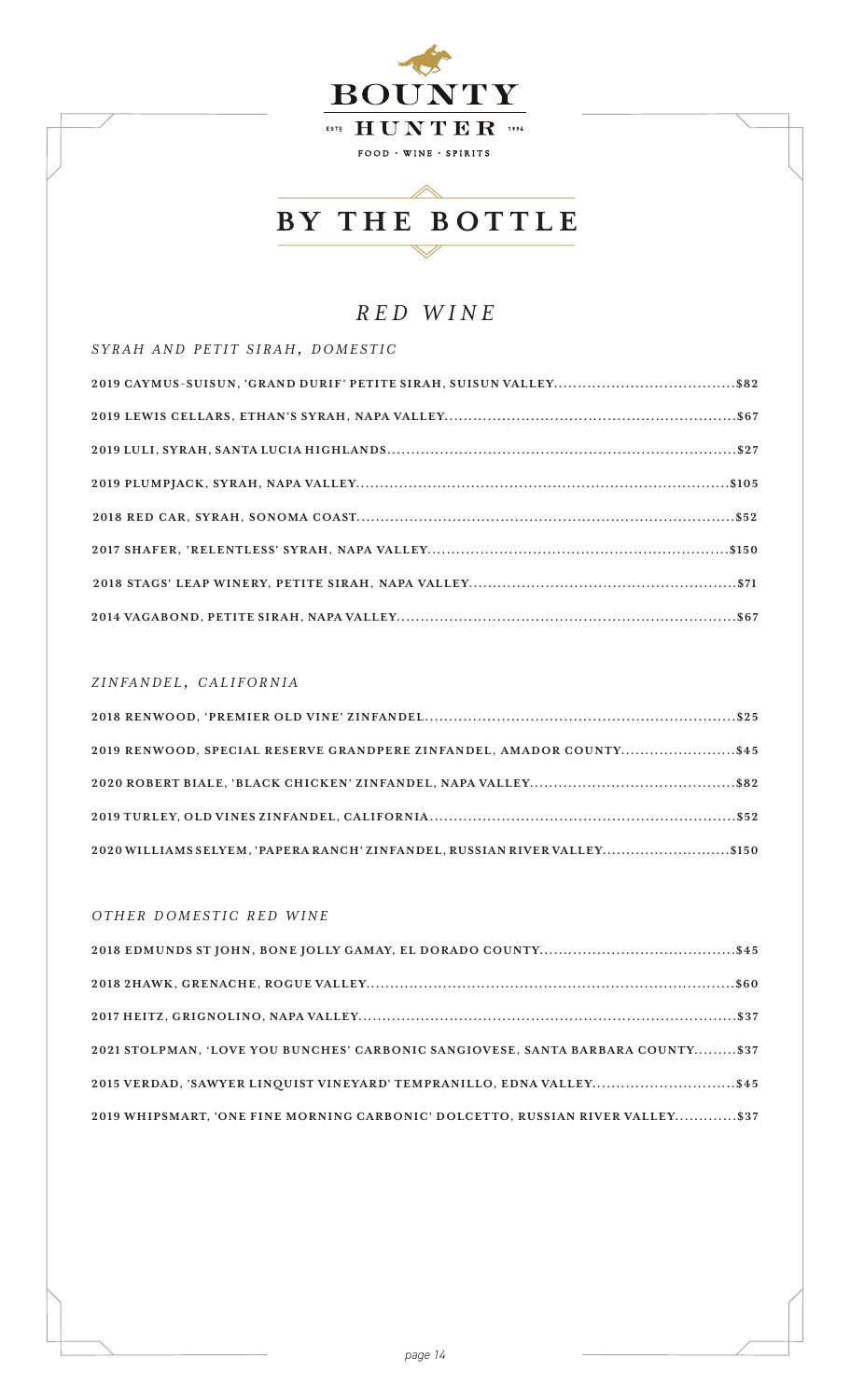

 $\triangle$ 

### *RED WINE*

*s y r a h a n d p e t i t s i r a h, d o m e s t i c*

#### *z i n fa n d e l , c a l i f o r n i a*

| 2019 RENWOOD, SPECIAL RESERVE GRANDPERE ZINFANDEL, AMADOR COUNTY\$45      |  |
|---------------------------------------------------------------------------|--|
|                                                                           |  |
|                                                                           |  |
| 2020 WILLIAMS SELYEM, 'PAPERA RANCH' ZINFANDEL, RUSSIAN RIVER VALLEY\$150 |  |

#### *OTHER DOMESTIC RED WINE*

| 2021 STOLPMAN, 'LOVE YOU BUNCHES' CARBONIC SANGIOVESE, SANTA BARBARA COUNTY\$37 |  |
|---------------------------------------------------------------------------------|--|
| 2015 VERDAD, 'SAWYER LINQUIST VINEYARD' TEMPRANILLO, EDNA VALLEY\$45            |  |
| 2019 WHIPSMART, 'ONE FINE MORNING CARBONIC' DOLCETTO, RUSSIAN RIVER VALLEY\$37  |  |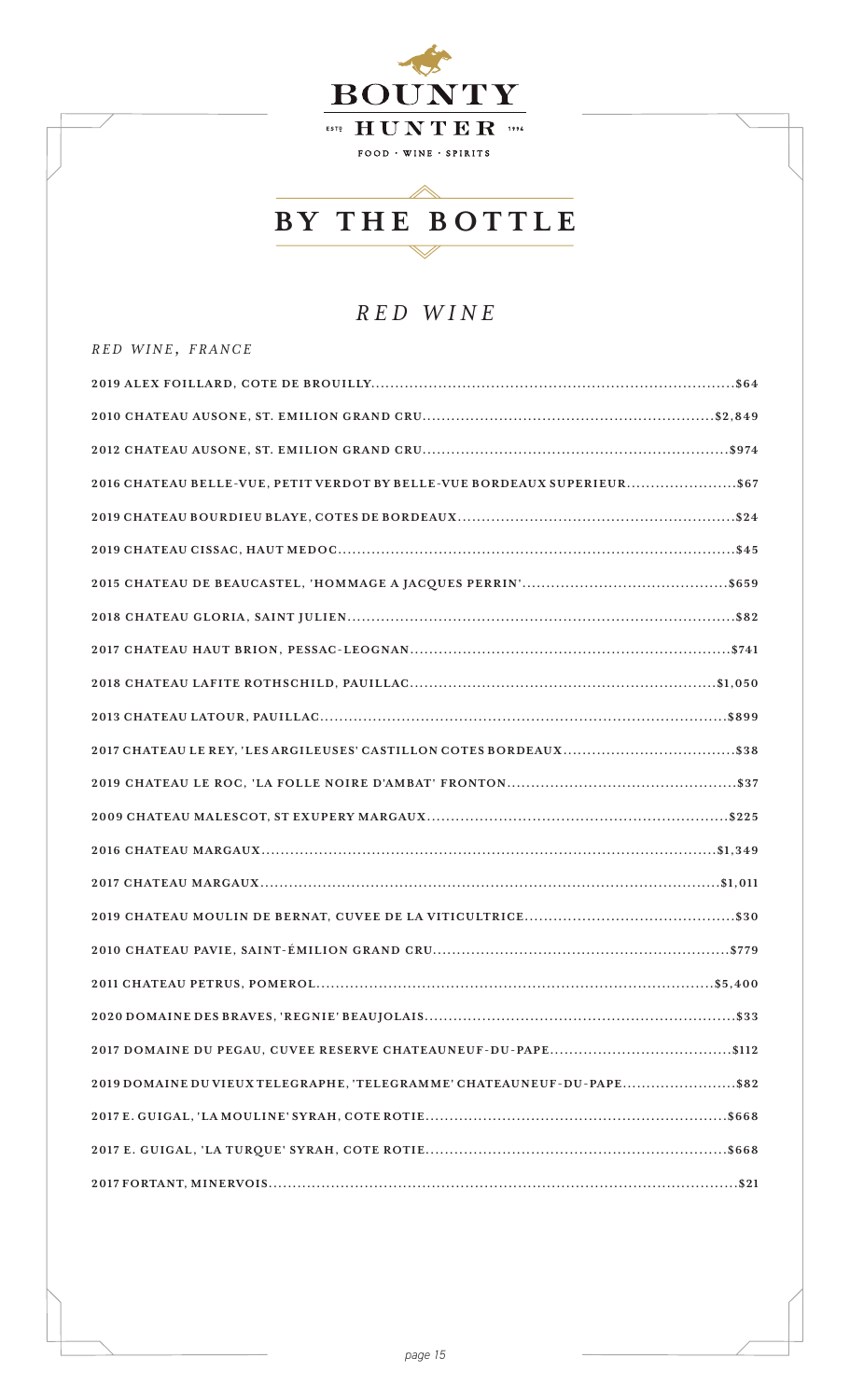

## *RED WINE*

*r e d w i n e , f r a n c e*

| 2016 CHATEAU BELLE-VUE, PETIT VERDOT BY BELLE-VUE BORDEAUX SUPERIEUR\$67 |
|--------------------------------------------------------------------------|
|                                                                          |
|                                                                          |
|                                                                          |
|                                                                          |
|                                                                          |
|                                                                          |
|                                                                          |
|                                                                          |
|                                                                          |
|                                                                          |
|                                                                          |
|                                                                          |
|                                                                          |
|                                                                          |
|                                                                          |
|                                                                          |
|                                                                          |
| 2019 DOMAINE DU VIEUX TELEGRAPHE, 'TELEGRAMME' CHATEAUNEUF-DU-PAPE\$82   |
|                                                                          |
|                                                                          |
|                                                                          |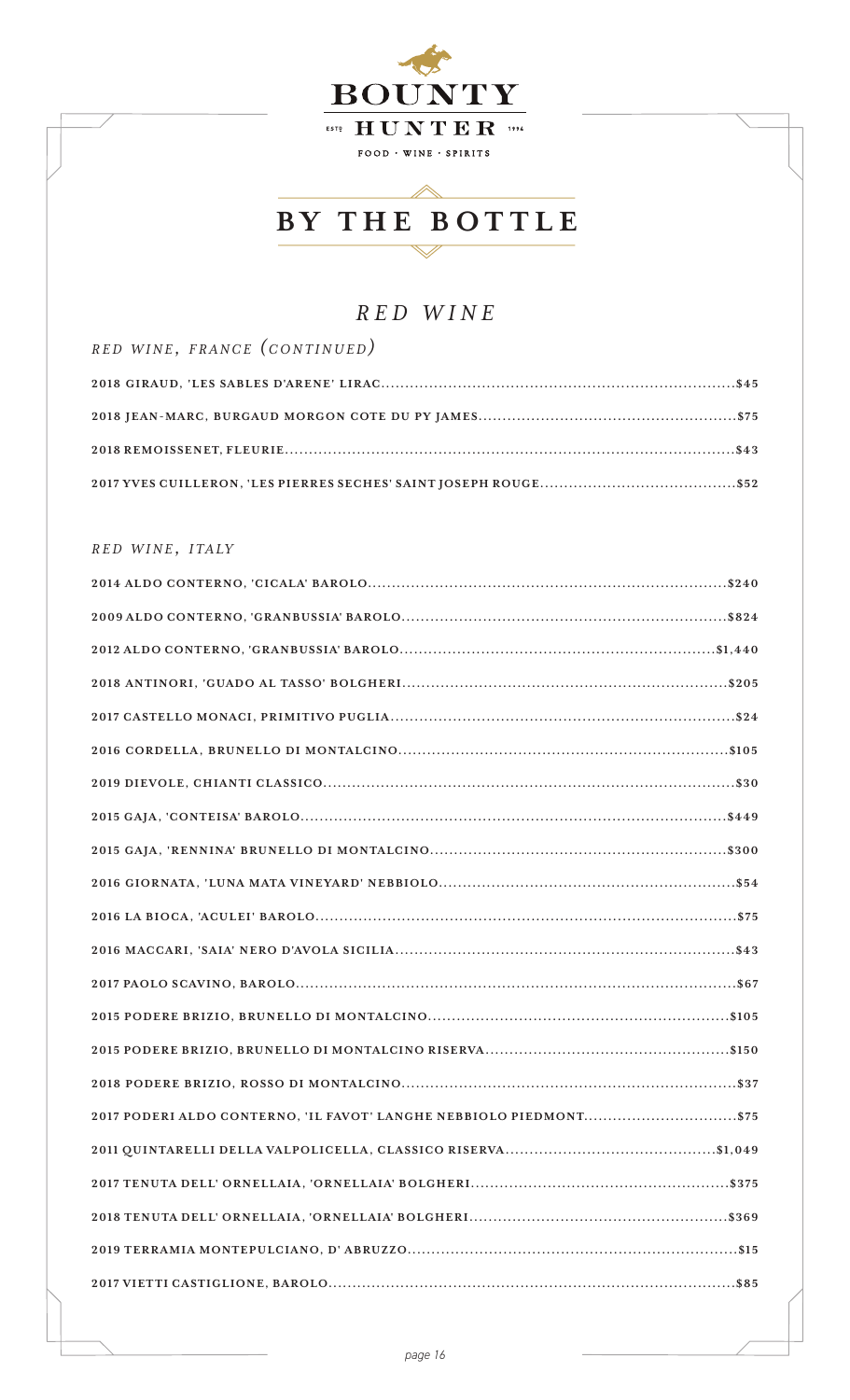

 $\mathrel{{\scriptstyle\sim}}$ 

## *RED WINE*

| RED WINE, FRANCE (CONTINUED) |  |
|------------------------------|--|
|                              |  |
|                              |  |
|                              |  |
|                              |  |

#### *r e d w i n e , i t a ly*

| 2017 PODERI ALDO CONTERNO, 'IL FAVOT' LANGHE NEBBIOLO PIEDMONT\$75 |
|--------------------------------------------------------------------|
|                                                                    |
|                                                                    |
|                                                                    |
|                                                                    |
|                                                                    |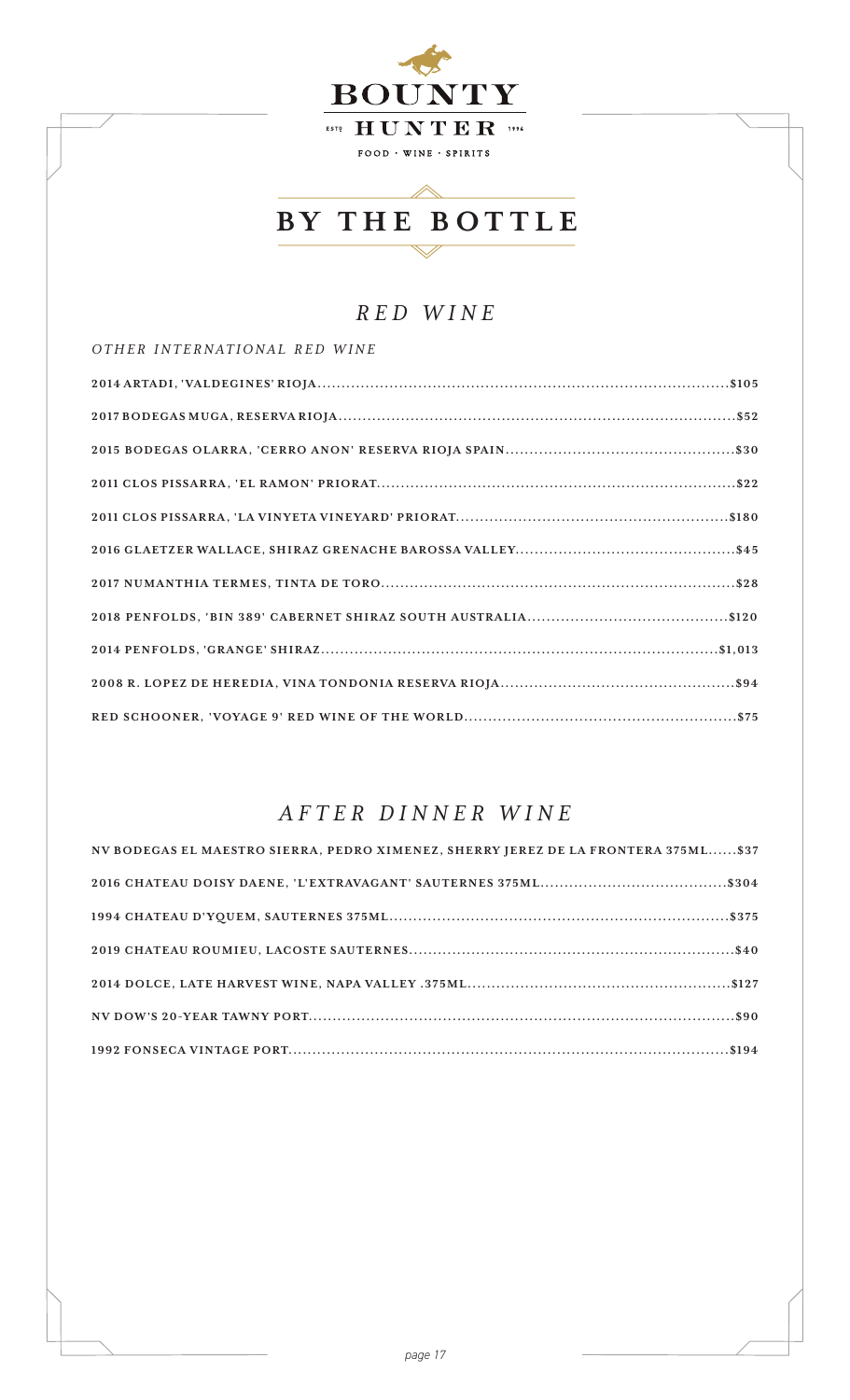

 $\triangle$ 

### *RED WINE*

*o t h e r i n t e r n a t i o n a l r e d w i n e*

## *AFTER DINNER WINE*

| NV BODEGAS EL MAESTRO SIERRA, PEDRO XIMENEZ, SHERRY JEREZ DE LA FRONTERA 375ML\$37 |
|------------------------------------------------------------------------------------|
|                                                                                    |
|                                                                                    |
|                                                                                    |
|                                                                                    |
|                                                                                    |
|                                                                                    |